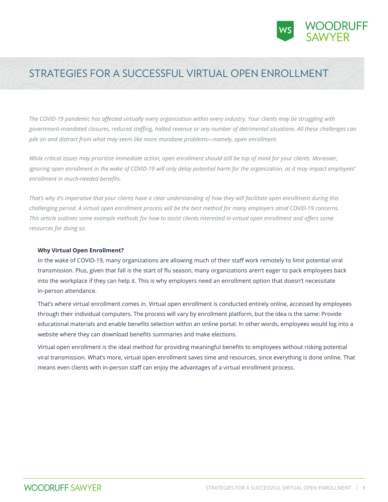

# STRATEGIES FOR A SUCCESSFUL VIRTUAL OPEN ENROLLMENT

*The COVID-19 pandemic has affected virtually every organization within every industry. Your clients may be struggling with government-mandated closures, reduced staffing, halted revenue or any number of detrimental situations. All these challenges can pile on and distract from what may seem like more mundane problems—namely, open enrollment.*

*While critical issues may prioritize immediate action, open enrollment should still be top of mind for your clients. Moreover, ignoring open enrollment in the wake of COVID-19 will only delay potential harm for the organization, as it may impact employees' enrollment in much-needed benefits.*

*That's why it's imperative that your clients have a clear understanding of how they will facilitate open enrollment during this challenging period. A virtual open enrollment process will be the best method for many employers amid COVID-19 concerns. This article outlines some example methods for how to assist clients interested in virtual open enrollment and offers some resources for doing so.* 

### **Why Virtual Open Enrollment?**

In the wake of COVID-19, many organizations are allowing much of their staff work remotely to limit potential viral transmission. Plus, given that fall is the start of flu season, many organizations aren't eager to pack employees back into the workplace if they can help it. This is why employers need an enrollment option that doesn't necessitate in‑person attendance.

That's where virtual enrollment comes in. Virtual open enrollment is conducted entirely online, accessed by employees through their individual computers. The process will vary by enrollment platform, but the idea is the same: Provide educational materials and enable benefits selection within an online portal. In other words, employees would log into a website where they can download benefits summaries and make elections.

Virtual open enrollment is the ideal method for providing meaningful benefits to employees without risking potential viral transmission. What's more, virtual open enrollment saves time and resources, since everything is done online. That means even clients with in-person staff can enjoy the advantages of a virtual enrollment process.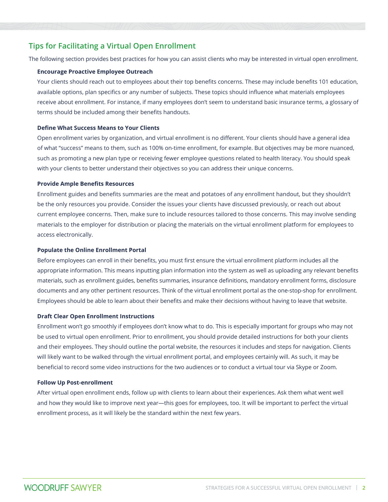# **Tips for Facilitating a Virtual Open Enrollment**

The following section provides best practices for how you can assist clients who may be interested in virtual open enrollment.

#### **Encourage Proactive Employee Outreach**

Your clients should reach out to employees about their top benefits concerns. These may include benefits 101 education, available options, plan specifics or any number of subjects. These topics should influence what materials employees receive about enrollment. For instance, if many employees don't seem to understand basic insurance terms, a glossary of terms should be included among their benefits handouts.

### **Define What Success Means to Your Clients**

Open enrollment varies by organization, and virtual enrollment is no different. Your clients should have a general idea of what "success" means to them, such as 100% on-time enrollment, for example. But objectives may be more nuanced, such as promoting a new plan type or receiving fewer employee questions related to health literacy. You should speak with your clients to better understand their objectives so you can address their unique concerns.

#### **Provide Ample Benefits Resources**

Enrollment guides and benefits summaries are the meat and potatoes of any enrollment handout, but they shouldn't be the only resources you provide. Consider the issues your clients have discussed previously, or reach out about current employee concerns. Then, make sure to include resources tailored to those concerns. This may involve sending materials to the employer for distribution or placing the materials on the virtual enrollment platform for employees to access electronically.

### **Populate the Online Enrollment Portal**

Before employees can enroll in their benefits, you must first ensure the virtual enrollment platform includes all the appropriate information. This means inputting plan information into the system as well as uploading any relevant benefits materials, such as enrollment guides, benefits summaries, insurance definitions, mandatory enrollment forms, disclosure documents and any other pertinent resources. Think of the virtual enrollment portal as the one-stop-shop for enrollment. Employees should be able to learn about their benefits and make their decisions without having to leave that website.

#### **Draft Clear Open Enrollment Instructions**

Enrollment won't go smoothly if employees don't know what to do. This is especially important for groups who may not be used to virtual open enrollment. Prior to enrollment, you should provide detailed instructions for both your clients and their employees. They should outline the portal website, the resources it includes and steps for navigation. Clients will likely want to be walked through the virtual enrollment portal, and employees certainly will. As such, it may be beneficial to record some video instructions for the two audiences or to conduct a virtual tour via Skype or Zoom.

#### **Follow Up Post-enrollment**

After virtual open enrollment ends, follow up with clients to learn about their experiences. Ask them what went well and how they would like to improve next year—this goes for employees, too. It will be important to perfect the virtual enrollment process, as it will likely be the standard within the next few years.